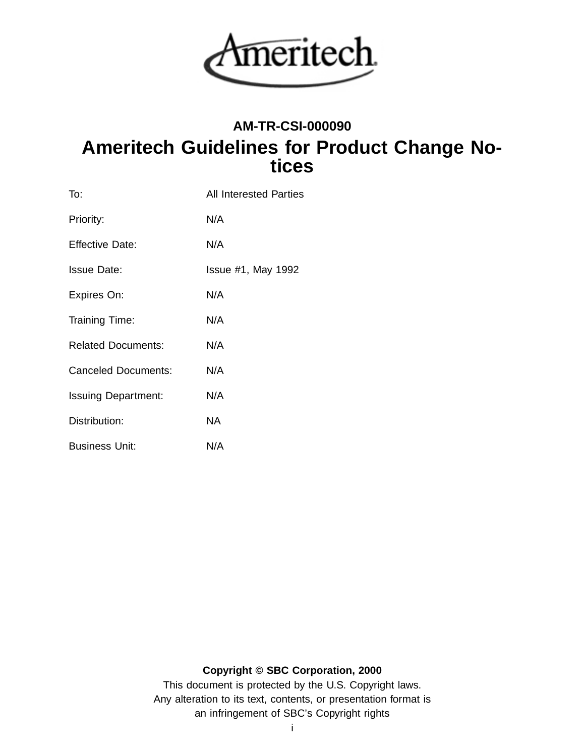

# **AM-TR-CSI-000090 Ameritech Guidelines for Product Change Notices**

| To:                        | <b>All Interested Parties</b> |
|----------------------------|-------------------------------|
| Priority:                  | N/A                           |
| <b>Effective Date:</b>     | N/A                           |
| <b>Issue Date:</b>         | <b>Issue #1, May 1992</b>     |
| Expires On:                | N/A                           |
| Training Time:             | N/A                           |
| <b>Related Documents:</b>  | N/A                           |
| <b>Canceled Documents:</b> | N/A                           |
| <b>Issuing Department:</b> | N/A                           |
| Distribution:              | NA.                           |
| <b>Business Unit:</b>      | N/A                           |

# **Copyright © SBC Corporation, 2000**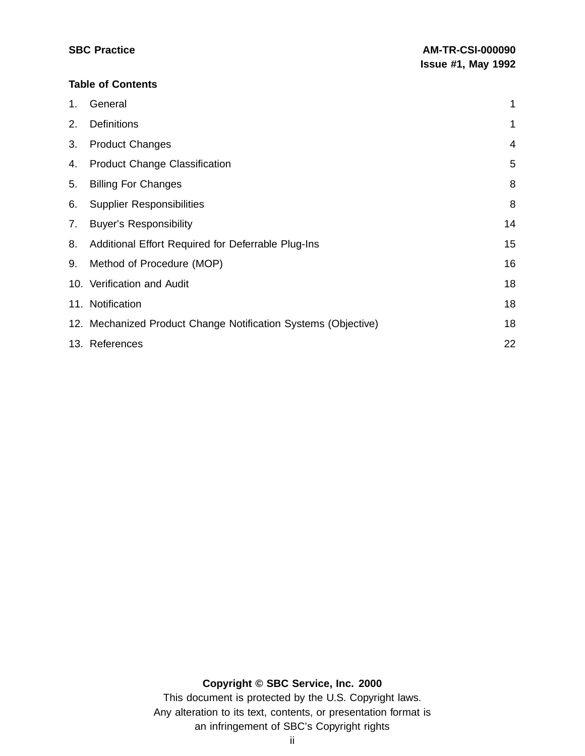#### **Table of Contents**

| $1_{\cdot}$ | General                                                        | 1  |
|-------------|----------------------------------------------------------------|----|
| 2.          | <b>Definitions</b>                                             | 1  |
| 3.          | <b>Product Changes</b>                                         | 4  |
| 4.          | <b>Product Change Classification</b>                           | 5  |
| 5.          | <b>Billing For Changes</b>                                     | 8  |
| 6.          | <b>Supplier Responsibilities</b>                               | 8  |
| 7.          | <b>Buyer's Responsibility</b>                                  | 14 |
| 8.          | Additional Effort Required for Deferrable Plug-Ins             | 15 |
| 9.          | Method of Procedure (MOP)                                      | 16 |
|             | 10. Verification and Audit                                     | 18 |
|             | 11. Notification                                               | 18 |
|             | 12. Mechanized Product Change Notification Systems (Objective) | 18 |
|             | 13. References                                                 | 22 |

### **Copyright © SBC Service, Inc. 2000**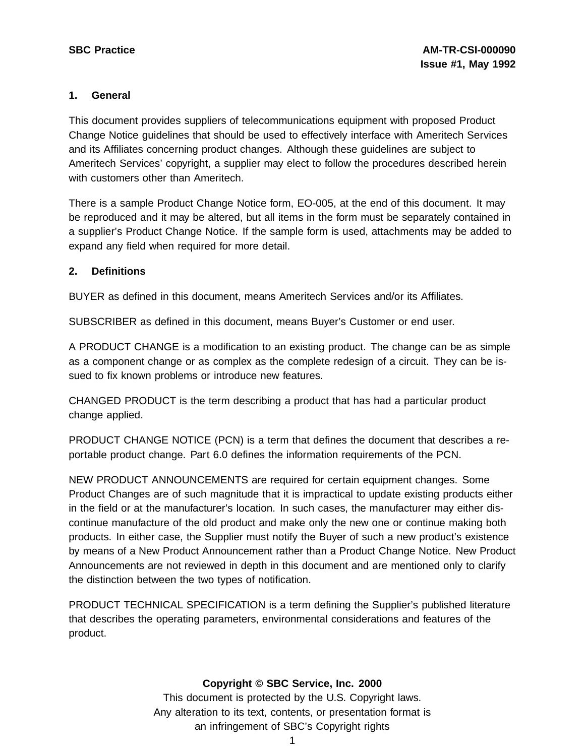#### **1. General**

This document provides suppliers of telecommunications equipment with proposed Product Change Notice guidelines that should be used to effectively interface with Ameritech Services and its Affiliates concerning product changes. Although these guidelines are subject to Ameritech Services' copyright, a supplier may elect to follow the procedures described herein with customers other than Ameritech.

There is a sample Product Change Notice form, EO-005, at the end of this document. It may be reproduced and it may be altered, but all items in the form must be separately contained in a supplier's Product Change Notice. If the sample form is used, attachments may be added to expand any field when required for more detail.

#### **2. Definitions**

BUYER as defined in this document, means Ameritech Services and/or its Affiliates.

SUBSCRIBER as defined in this document, means Buyer's Customer or end user.

A PRODUCT CHANGE is a modification to an existing product. The change can be as simple as a component change or as complex as the complete redesign of a circuit. They can be issued to fix known problems or introduce new features.

CHANGED PRODUCT is the term describing a product that has had a particular product change applied.

PRODUCT CHANGE NOTICE (PCN) is a term that defines the document that describes a reportable product change. Part 6.0 defines the information requirements of the PCN.

NEW PRODUCT ANNOUNCEMENTS are required for certain equipment changes. Some Product Changes are of such magnitude that it is impractical to update existing products either in the field or at the manufacturer's location. In such cases, the manufacturer may either discontinue manufacture of the old product and make only the new one or continue making both products. In either case, the Supplier must notify the Buyer of such a new product's existence by means of a New Product Announcement rather than a Product Change Notice. New Product Announcements are not reviewed in depth in this document and are mentioned only to clarify the distinction between the two types of notification.

PRODUCT TECHNICAL SPECIFICATION is a term defining the Supplier's published literature that describes the operating parameters, environmental considerations and features of the product.

#### **Copyright © SBC Service, Inc. 2000**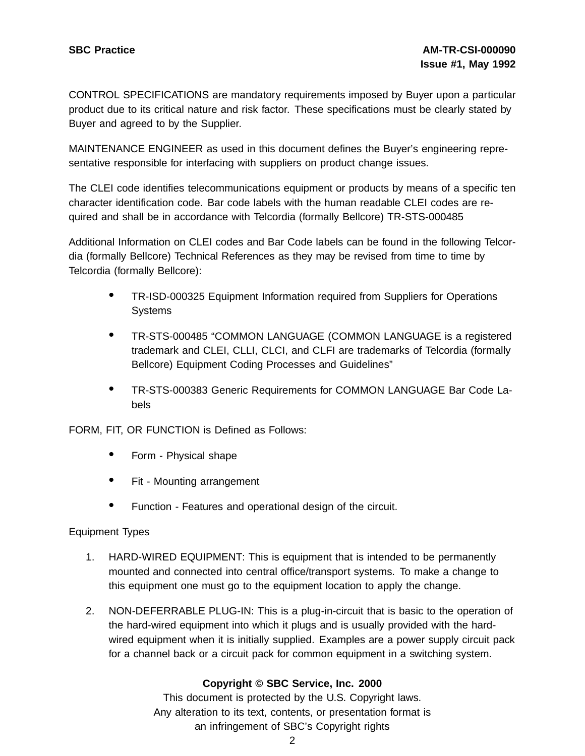CONTROL SPECIFICATIONS are mandatory requirements imposed by Buyer upon a particular product due to its critical nature and risk factor. These specifications must be clearly stated by Buyer and agreed to by the Supplier.

MAINTENANCE ENGINEER as used in this document defines the Buyer's engineering representative responsible for interfacing with suppliers on product change issues.

The CLEI code identifies telecommunications equipment or products by means of a specific ten character identification code. Bar code labels with the human readable CLEI codes are required and shall be in accordance with Telcordia (formally Bellcore) TR-STS-000485

Additional Information on CLEI codes and Bar Code labels can be found in the following Telcordia (formally Bellcore) Technical References as they may be revised from time to time by Telcordia (formally Bellcore):

- TR-ISD-000325 Equipment Information required from Suppliers for Operations **Systems**
- TR-STS-000485 "COMMON LANGUAGE (COMMON LANGUAGE is <sup>a</sup> registered trademark and CLEI, CLLI, CLCI, and CLFI are trademarks of Telcordia (formally Bellcore) Equipment Coding Processes and Guidelines"
- TR-STS-000383 Generic Requirements for COMMON LANGUAGE Bar Code Labels

FORM, FIT, OR FUNCTION is Defined as Follows:

- Form Physical shape
- Fit Mounting arrangement
- Function Features and operational design of the circuit.

#### Equipment Types

- 1. HARD-WIRED EQUIPMENT: This is equipment that is intended to be permanently mounted and connected into central office/transport systems. To make a change to this equipment one must go to the equipment location to apply the change.
- 2. NON-DEFERRABLE PLUG-IN: This is a plug-in-circuit that is basic to the operation of the hard-wired equipment into which it plugs and is usually provided with the hardwired equipment when it is initially supplied. Examples are a power supply circuit pack for a channel back or a circuit pack for common equipment in a switching system.

#### **Copyright © SBC Service, Inc. 2000**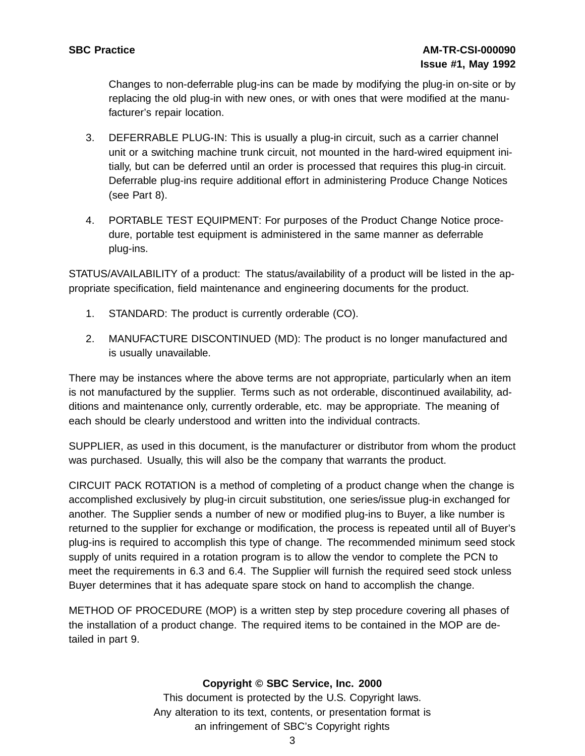Changes to non-deferrable plug-ins can be made by modifying the plug-in on-site or by replacing the old plug-in with new ones, or with ones that were modified at the manufacturer's repair location.

- 3. DEFERRABLE PLUG-IN: This is usually a plug-in circuit, such as a carrier channel unit or a switching machine trunk circuit, not mounted in the hard-wired equipment initially, but can be deferred until an order is processed that requires this plug-in circuit. Deferrable plug-ins require additional effort in administering Produce Change Notices (see Part 8).
- 4. PORTABLE TEST EQUIPMENT: For purposes of the Product Change Notice procedure, portable test equipment is administered in the same manner as deferrable plug-ins.

STATUS/AVAILABILITY of a product: The status/availability of a product will be listed in the appropriate specification, field maintenance and engineering documents for the product.

- 1. STANDARD: The product is currently orderable (CO).
- 2. MANUFACTURE DISCONTINUED (MD): The product is no longer manufactured and is usually unavailable.

There may be instances where the above terms are not appropriate, particularly when an item is not manufactured by the supplier. Terms such as not orderable, discontinued availability, additions and maintenance only, currently orderable, etc. may be appropriate. The meaning of each should be clearly understood and written into the individual contracts.

SUPPLIER, as used in this document, is the manufacturer or distributor from whom the product was purchased. Usually, this will also be the company that warrants the product.

CIRCUIT PACK ROTATION is a method of completing of a product change when the change is accomplished exclusively by plug-in circuit substitution, one series/issue plug-in exchanged for another. The Supplier sends a number of new or modified plug-ins to Buyer, a like number is returned to the supplier for exchange or modification, the process is repeated until all of Buyer's plug-ins is required to accomplish this type of change. The recommended minimum seed stock supply of units required in a rotation program is to allow the vendor to complete the PCN to meet the requirements in 6.3 and 6.4. The Supplier will furnish the required seed stock unless Buyer determines that it has adequate spare stock on hand to accomplish the change.

METHOD OF PROCEDURE (MOP) is a written step by step procedure covering all phases of the installation of a product change. The required items to be contained in the MOP are detailed in part 9.

#### **Copyright © SBC Service, Inc. 2000**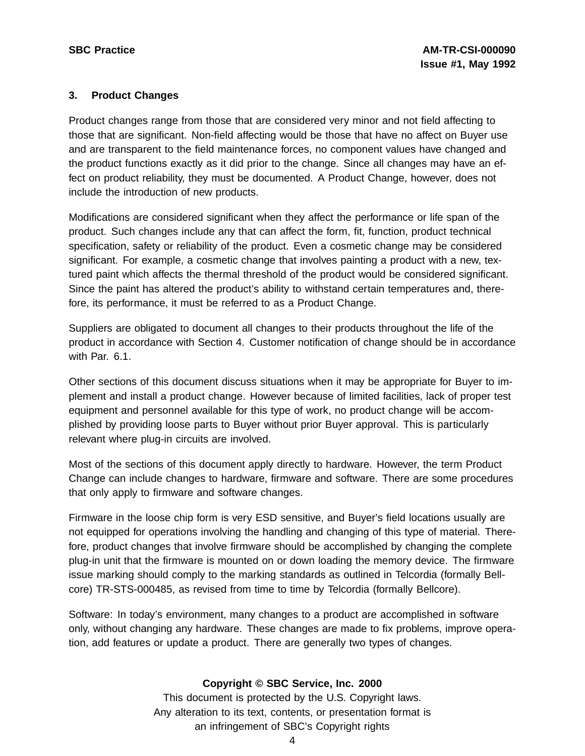#### **3. Product Changes**

Product changes range from those that are considered very minor and not field affecting to those that are significant. Non-field affecting would be those that have no affect on Buyer use and are transparent to the field maintenance forces, no component values have changed and the product functions exactly as it did prior to the change. Since all changes may have an effect on product reliability, they must be documented. A Product Change, however, does not include the introduction of new products.

Modifications are considered significant when they affect the performance or life span of the product. Such changes include any that can affect the form, fit, function, product technical specification, safety or reliability of the product. Even a cosmetic change may be considered significant. For example, a cosmetic change that involves painting a product with a new, textured paint which affects the thermal threshold of the product would be considered significant. Since the paint has altered the product's ability to withstand certain temperatures and, therefore, its performance, it must be referred to as a Product Change.

Suppliers are obligated to document all changes to their products throughout the life of the product in accordance with Section 4. Customer notification of change should be in accordance with Par. 6.1.

Other sections of this document discuss situations when it may be appropriate for Buyer to implement and install a product change. However because of limited facilities, lack of proper test equipment and personnel available for this type of work, no product change will be accomplished by providing loose parts to Buyer without prior Buyer approval. This is particularly relevant where plug-in circuits are involved.

Most of the sections of this document apply directly to hardware. However, the term Product Change can include changes to hardware, firmware and software. There are some procedures that only apply to firmware and software changes.

Firmware in the loose chip form is very ESD sensitive, and Buyer's field locations usually are not equipped for operations involving the handling and changing of this type of material. Therefore, product changes that involve firmware should be accomplished by changing the complete plug-in unit that the firmware is mounted on or down loading the memory device. The firmware issue marking should comply to the marking standards as outlined in Telcordia (formally Bellcore) TR-STS-000485, as revised from time to time by Telcordia (formally Bellcore).

Software: In today's environment, many changes to a product are accomplished in software only, without changing any hardware. These changes are made to fix problems, improve operation, add features or update a product. There are generally two types of changes.

# **Copyright © SBC Service, Inc. 2000**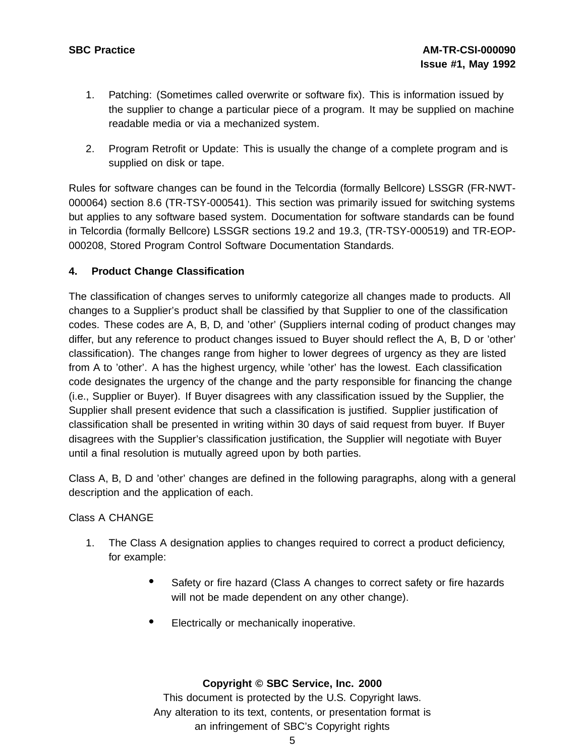- 1. Patching: (Sometimes called overwrite or software fix). This is information issued by the supplier to change a particular piece of a program. It may be supplied on machine readable media or via a mechanized system.
- 2. Program Retrofit or Update: This is usually the change of a complete program and is supplied on disk or tape.

Rules for software changes can be found in the Telcordia (formally Bellcore) LSSGR (FR-NWT-000064) section 8.6 (TR-TSY-000541). This section was primarily issued for switching systems but applies to any software based system. Documentation for software standards can be found in Telcordia (formally Bellcore) LSSGR sections 19.2 and 19.3, (TR-TSY-000519) and TR-EOP-000208, Stored Program Control Software Documentation Standards.

#### **4. Product Change Classification**

The classification of changes serves to uniformly categorize all changes made to products. All changes to a Supplier's product shall be classified by that Supplier to one of the classification codes. These codes are A, B, D, and 'other' (Suppliers internal coding of product changes may differ, but any reference to product changes issued to Buyer should reflect the A, B, D or 'other' classification). The changes range from higher to lower degrees of urgency as they are listed from A to 'other'. A has the highest urgency, while 'other' has the lowest. Each classification code designates the urgency of the change and the party responsible for financing the change (i.e., Supplier or Buyer). If Buyer disagrees with any classification issued by the Supplier, the Supplier shall present evidence that such a classification is justified. Supplier justification of classification shall be presented in writing within 30 days of said request from buyer. If Buyer disagrees with the Supplier's classification justification, the Supplier will negotiate with Buyer until a final resolution is mutually agreed upon by both parties.

Class A, B, D and 'other' changes are defined in the following paragraphs, along with a general description and the application of each.

#### Class A CHANGE

- 1. The Class A designation applies to changes required to correct a product deficiency, for example:
	- Safety or fire hazard (Class A changes to correct safety or fire hazards will not be made dependent on any other change).
	- Electrically or mechanically inoperative.

#### **Copyright © SBC Service, Inc. 2000**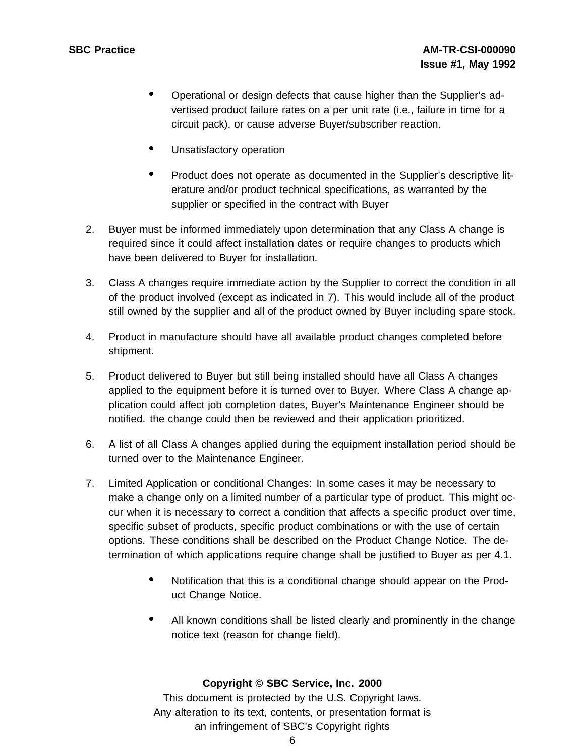- Operational or design defects that cause higher than the Supplier's advertised product failure rates on a per unit rate (i.e., failure in time for a circuit pack), or cause adverse Buyer/subscriber reaction.
- Unsatisfactory operation
- Product does not operate as documented in the Supplier's descriptive literature and/or product technical specifications, as warranted by the supplier or specified in the contract with Buyer
- 2. Buyer must be informed immediately upon determination that any Class A change is required since it could affect installation dates or require changes to products which have been delivered to Buyer for installation.
- 3. Class A changes require immediate action by the Supplier to correct the condition in all of the product involved (except as indicated in 7). This would include all of the product still owned by the supplier and all of the product owned by Buyer including spare stock.
- 4. Product in manufacture should have all available product changes completed before shipment.
- 5. Product delivered to Buyer but still being installed should have all Class A changes applied to the equipment before it is turned over to Buyer. Where Class A change application could affect job completion dates, Buyer's Maintenance Engineer should be notified. the change could then be reviewed and their application prioritized.
- 6. A list of all Class A changes applied during the equipment installation period should be turned over to the Maintenance Engineer.
- 7. Limited Application or conditional Changes: In some cases it may be necessary to make a change only on a limited number of a particular type of product. This might occur when it is necessary to correct a condition that affects a specific product over time, specific subset of products, specific product combinations or with the use of certain options. These conditions shall be described on the Product Change Notice. The determination of which applications require change shall be justified to Buyer as per 4.1.
	- Notification that this is <sup>a</sup> conditional change should appear on the Product Change Notice.
	- All known conditions shall be listed clearly and prominently in the change notice text (reason for change field).

#### **Copyright © SBC Service, Inc. 2000**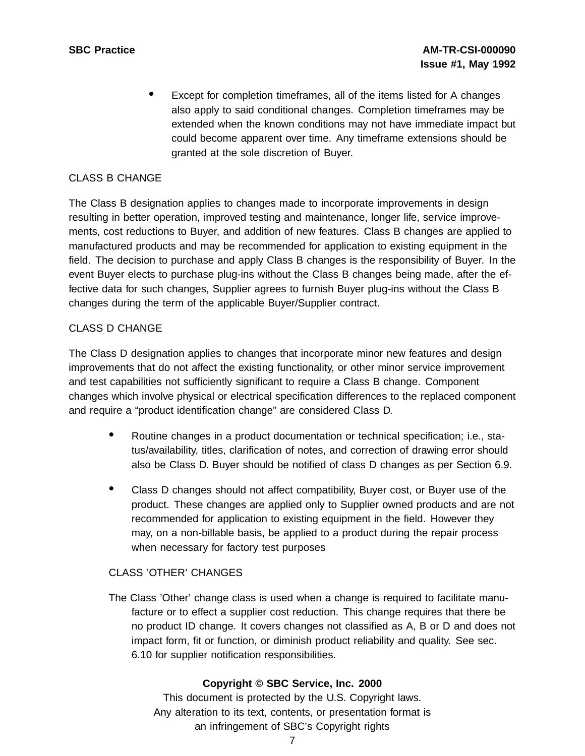Except for completion timeframes, all of the items listed for A changes also apply to said conditional changes. Completion timeframes may be extended when the known conditions may not have immediate impact but could become apparent over time. Any timeframe extensions should be granted at the sole discretion of Buyer.

### CLASS B CHANGE

The Class B designation applies to changes made to incorporate improvements in design resulting in better operation, improved testing and maintenance, longer life, service improvements, cost reductions to Buyer, and addition of new features. Class B changes are applied to manufactured products and may be recommended for application to existing equipment in the field. The decision to purchase and apply Class B changes is the responsibility of Buyer. In the event Buyer elects to purchase plug-ins without the Class B changes being made, after the effective data for such changes, Supplier agrees to furnish Buyer plug-ins without the Class B changes during the term of the applicable Buyer/Supplier contract.

#### CLASS D CHANGE

The Class D designation applies to changes that incorporate minor new features and design improvements that do not affect the existing functionality, or other minor service improvement and test capabilities not sufficiently significant to require a Class B change. Component changes which involve physical or electrical specification differences to the replaced component and require a "product identification change" are considered Class D.

- Routine changes in <sup>a</sup> product documentation or technical specification; i.e., status/availability, titles, clarification of notes, and correction of drawing error should also be Class D. Buyer should be notified of class D changes as per Section 6.9.
- Class <sup>D</sup> changes should not affect compatibility, Buyer cost, or Buyer use of the product. These changes are applied only to Supplier owned products and are not recommended for application to existing equipment in the field. However they may, on a non-billable basis, be applied to a product during the repair process when necessary for factory test purposes

# CLASS 'OTHER' CHANGES

The Class 'Other' change class is used when a change is required to facilitate manufacture or to effect a supplier cost reduction. This change requires that there be no product ID change. It covers changes not classified as A, B or D and does not impact form, fit or function, or diminish product reliability and quality. See sec. 6.10 for supplier notification responsibilities.

#### **Copyright © SBC Service, Inc. 2000**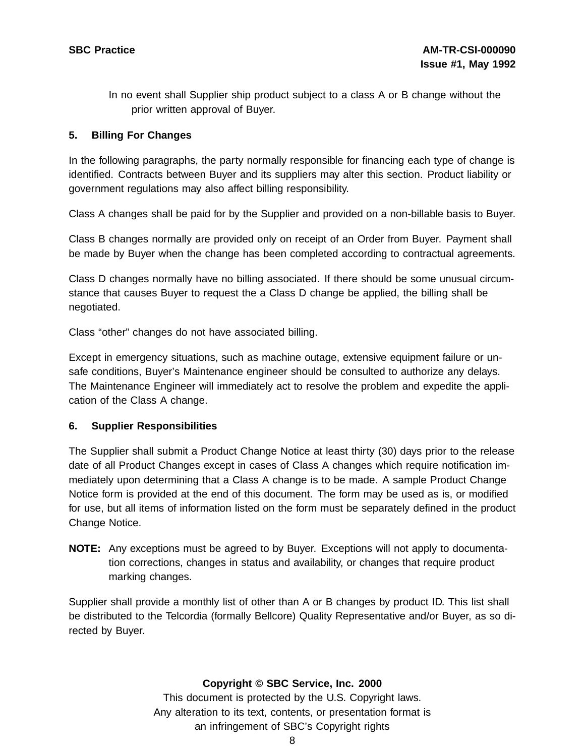In no event shall Supplier ship product subject to a class A or B change without the prior written approval of Buyer.

#### **5. Billing For Changes**

In the following paragraphs, the party normally responsible for financing each type of change is identified. Contracts between Buyer and its suppliers may alter this section. Product liability or government regulations may also affect billing responsibility.

Class A changes shall be paid for by the Supplier and provided on a non-billable basis to Buyer.

Class B changes normally are provided only on receipt of an Order from Buyer. Payment shall be made by Buyer when the change has been completed according to contractual agreements.

Class D changes normally have no billing associated. If there should be some unusual circumstance that causes Buyer to request the a Class D change be applied, the billing shall be negotiated.

Class "other" changes do not have associated billing.

Except in emergency situations, such as machine outage, extensive equipment failure or unsafe conditions, Buyer's Maintenance engineer should be consulted to authorize any delays. The Maintenance Engineer will immediately act to resolve the problem and expedite the application of the Class A change.

#### **6. Supplier Responsibilities**

The Supplier shall submit a Product Change Notice at least thirty (30) days prior to the release date of all Product Changes except in cases of Class A changes which require notification immediately upon determining that a Class A change is to be made. A sample Product Change Notice form is provided at the end of this document. The form may be used as is, or modified for use, but all items of information listed on the form must be separately defined in the product Change Notice.

**NOTE:** Any exceptions must be agreed to by Buyer. Exceptions will not apply to documentation corrections, changes in status and availability, or changes that require product marking changes.

Supplier shall provide a monthly list of other than A or B changes by product ID. This list shall be distributed to the Telcordia (formally Bellcore) Quality Representative and/or Buyer, as so directed by Buyer.

#### **Copyright © SBC Service, Inc. 2000**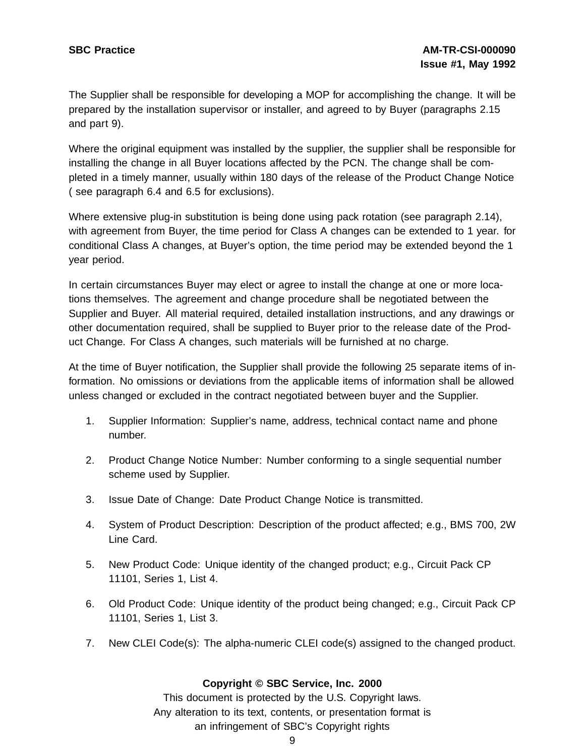The Supplier shall be responsible for developing a MOP for accomplishing the change. It will be prepared by the installation supervisor or installer, and agreed to by Buyer (paragraphs 2.15 and part 9).

Where the original equipment was installed by the supplier, the supplier shall be responsible for installing the change in all Buyer locations affected by the PCN. The change shall be completed in a timely manner, usually within 180 days of the release of the Product Change Notice ( see paragraph 6.4 and 6.5 for exclusions).

Where extensive plug-in substitution is being done using pack rotation (see paragraph 2.14), with agreement from Buyer, the time period for Class A changes can be extended to 1 year. for conditional Class A changes, at Buyer's option, the time period may be extended beyond the 1 year period.

In certain circumstances Buyer may elect or agree to install the change at one or more locations themselves. The agreement and change procedure shall be negotiated between the Supplier and Buyer. All material required, detailed installation instructions, and any drawings or other documentation required, shall be supplied to Buyer prior to the release date of the Product Change. For Class A changes, such materials will be furnished at no charge.

At the time of Buyer notification, the Supplier shall provide the following 25 separate items of information. No omissions or deviations from the applicable items of information shall be allowed unless changed or excluded in the contract negotiated between buyer and the Supplier.

- 1. Supplier Information: Supplier's name, address, technical contact name and phone number.
- 2. Product Change Notice Number: Number conforming to a single sequential number scheme used by Supplier.
- 3. Issue Date of Change: Date Product Change Notice is transmitted.
- 4. System of Product Description: Description of the product affected; e.g., BMS 700, 2W Line Card.
- 5. New Product Code: Unique identity of the changed product; e.g., Circuit Pack CP 11101, Series 1, List 4.
- 6. Old Product Code: Unique identity of the product being changed; e.g., Circuit Pack CP 11101, Series 1, List 3.
- 7. New CLEI Code(s): The alpha-numeric CLEI code(s) assigned to the changed product.

#### **Copyright © SBC Service, Inc. 2000**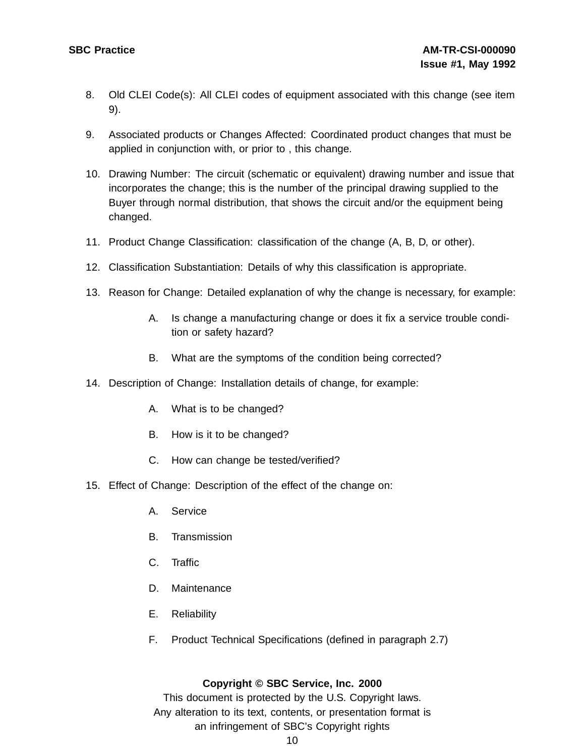- 8. Old CLEI Code(s): All CLEI codes of equipment associated with this change (see item 9).
- 9. Associated products or Changes Affected: Coordinated product changes that must be applied in conjunction with, or prior to , this change.
- 10. Drawing Number: The circuit (schematic or equivalent) drawing number and issue that incorporates the change; this is the number of the principal drawing supplied to the Buyer through normal distribution, that shows the circuit and/or the equipment being changed.
- 11. Product Change Classification: classification of the change (A, B, D, or other).
- 12. Classification Substantiation: Details of why this classification is appropriate.
- 13. Reason for Change: Detailed explanation of why the change is necessary, for example:
	- A. Is change a manufacturing change or does it fix a service trouble condition or safety hazard?
	- B. What are the symptoms of the condition being corrected?
- 14. Description of Change: Installation details of change, for example:
	- A. What is to be changed?
	- B. How is it to be changed?
	- C. How can change be tested/verified?
- 15. Effect of Change: Description of the effect of the change on:
	- A. Service
	- B. Transmission
	- C. Traffic
	- D. Maintenance
	- E. Reliability
	- F. Product Technical Specifications (defined in paragraph 2.7)

#### **Copyright © SBC Service, Inc. 2000**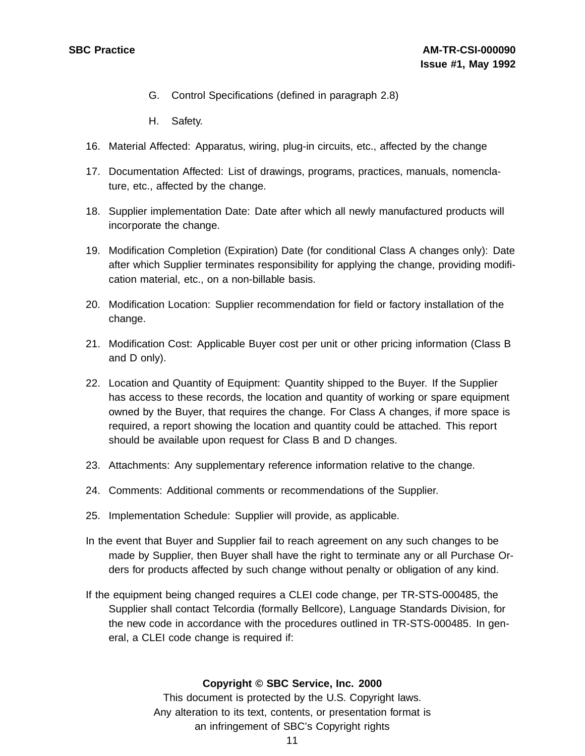- G. Control Specifications (defined in paragraph 2.8)
- H. Safety.
- 16. Material Affected: Apparatus, wiring, plug-in circuits, etc., affected by the change
- 17. Documentation Affected: List of drawings, programs, practices, manuals, nomenclature, etc., affected by the change.
- 18. Supplier implementation Date: Date after which all newly manufactured products will incorporate the change.
- 19. Modification Completion (Expiration) Date (for conditional Class A changes only): Date after which Supplier terminates responsibility for applying the change, providing modification material, etc., on a non-billable basis.
- 20. Modification Location: Supplier recommendation for field or factory installation of the change.
- 21. Modification Cost: Applicable Buyer cost per unit or other pricing information (Class B and D only).
- 22. Location and Quantity of Equipment: Quantity shipped to the Buyer. If the Supplier has access to these records, the location and quantity of working or spare equipment owned by the Buyer, that requires the change. For Class A changes, if more space is required, a report showing the location and quantity could be attached. This report should be available upon request for Class B and D changes.
- 23. Attachments: Any supplementary reference information relative to the change.
- 24. Comments: Additional comments or recommendations of the Supplier.
- 25. Implementation Schedule: Supplier will provide, as applicable.
- In the event that Buyer and Supplier fail to reach agreement on any such changes to be made by Supplier, then Buyer shall have the right to terminate any or all Purchase Orders for products affected by such change without penalty or obligation of any kind.
- If the equipment being changed requires a CLEI code change, per TR-STS-000485, the Supplier shall contact Telcordia (formally Bellcore), Language Standards Division, for the new code in accordance with the procedures outlined in TR-STS-000485. In general, a CLEI code change is required if:

#### **Copyright © SBC Service, Inc. 2000**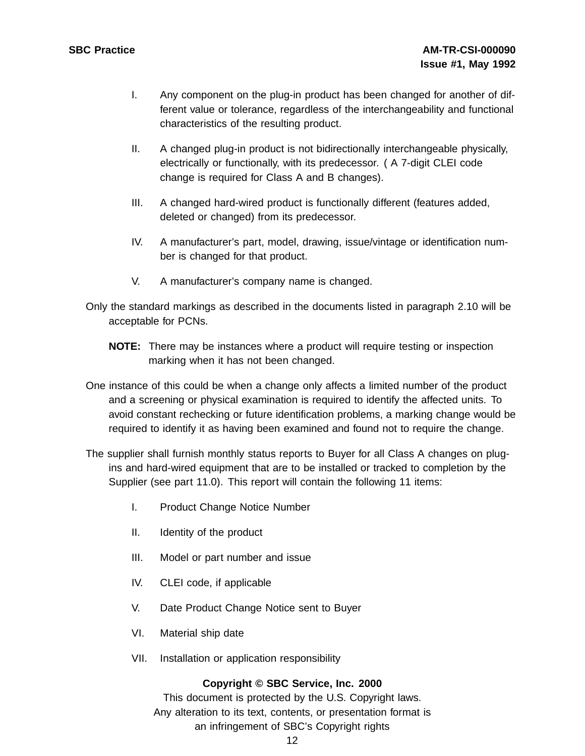- I. Any component on the plug-in product has been changed for another of different value or tolerance, regardless of the interchangeability and functional characteristics of the resulting product.
- II. A changed plug-in product is not bidirectionally interchangeable physically, electrically or functionally, with its predecessor. ( A 7-digit CLEI code change is required for Class A and B changes).
- III. A changed hard-wired product is functionally different (features added, deleted or changed) from its predecessor.
- IV. A manufacturer's part, model, drawing, issue/vintage or identification number is changed for that product.
- V. A manufacturer's company name is changed.

Only the standard markings as described in the documents listed in paragraph 2.10 will be acceptable for PCNs.

- **NOTE:** There may be instances where a product will require testing or inspection marking when it has not been changed.
- One instance of this could be when a change only affects a limited number of the product and a screening or physical examination is required to identify the affected units. To avoid constant rechecking or future identification problems, a marking change would be required to identify it as having been examined and found not to require the change.
- The supplier shall furnish monthly status reports to Buyer for all Class A changes on plugins and hard-wired equipment that are to be installed or tracked to completion by the Supplier (see part 11.0). This report will contain the following 11 items:
	- I. Product Change Notice Number
	- II. Identity of the product
	- III. Model or part number and issue
	- IV. CLEI code, if applicable
	- V. Date Product Change Notice sent to Buyer
	- VI. Material ship date
	- VII. Installation or application responsibility

#### **Copyright © SBC Service, Inc. 2000**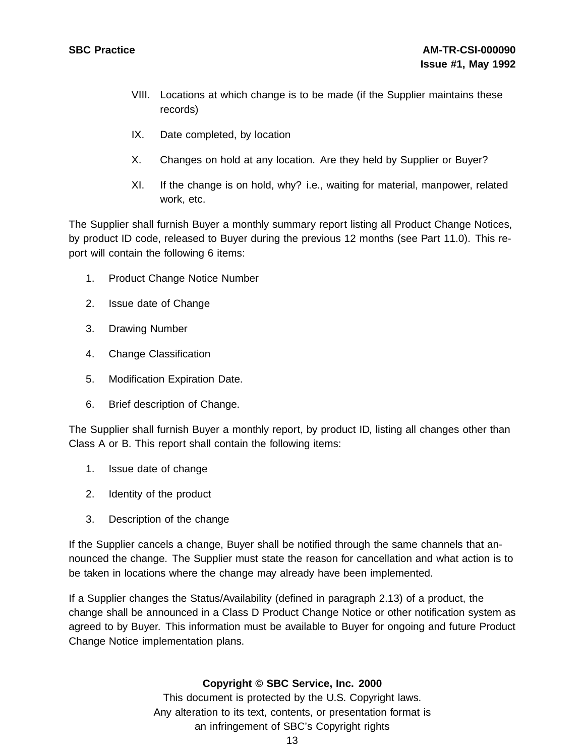- VIII. Locations at which change is to be made (if the Supplier maintains these records)
- IX. Date completed, by location
- X. Changes on hold at any location. Are they held by Supplier or Buyer?
- XI. If the change is on hold, why? i.e., waiting for material, manpower, related work, etc.

The Supplier shall furnish Buyer a monthly summary report listing all Product Change Notices, by product ID code, released to Buyer during the previous 12 months (see Part 11.0). This report will contain the following 6 items:

- 1. Product Change Notice Number
- 2. Issue date of Change
- 3. Drawing Number
- 4. Change Classification
- 5. Modification Expiration Date.
- 6. Brief description of Change.

The Supplier shall furnish Buyer a monthly report, by product ID, listing all changes other than Class A or B. This report shall contain the following items:

- 1. Issue date of change
- 2. Identity of the product
- 3. Description of the change

If the Supplier cancels a change, Buyer shall be notified through the same channels that announced the change. The Supplier must state the reason for cancellation and what action is to be taken in locations where the change may already have been implemented.

If a Supplier changes the Status/Availability (defined in paragraph 2.13) of a product, the change shall be announced in a Class D Product Change Notice or other notification system as agreed to by Buyer. This information must be available to Buyer for ongoing and future Product Change Notice implementation plans.

#### **Copyright © SBC Service, Inc. 2000**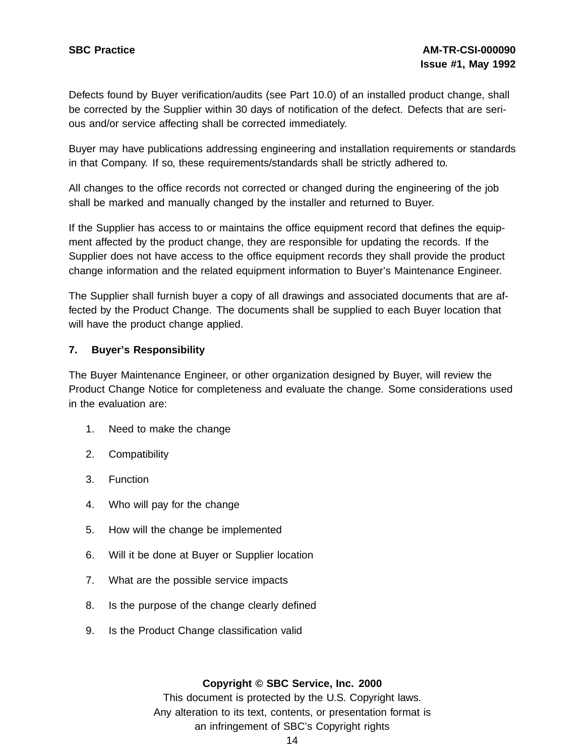Defects found by Buyer verification/audits (see Part 10.0) of an installed product change, shall be corrected by the Supplier within 30 days of notification of the defect. Defects that are serious and/or service affecting shall be corrected immediately.

Buyer may have publications addressing engineering and installation requirements or standards in that Company. If so, these requirements/standards shall be strictly adhered to.

All changes to the office records not corrected or changed during the engineering of the job shall be marked and manually changed by the installer and returned to Buyer.

If the Supplier has access to or maintains the office equipment record that defines the equipment affected by the product change, they are responsible for updating the records. If the Supplier does not have access to the office equipment records they shall provide the product change information and the related equipment information to Buyer's Maintenance Engineer.

The Supplier shall furnish buyer a copy of all drawings and associated documents that are affected by the Product Change. The documents shall be supplied to each Buyer location that will have the product change applied.

#### **7. Buyer's Responsibility**

The Buyer Maintenance Engineer, or other organization designed by Buyer, will review the Product Change Notice for completeness and evaluate the change. Some considerations used in the evaluation are:

- 1. Need to make the change
- 2. Compatibility
- 3. Function
- 4. Who will pay for the change
- 5. How will the change be implemented
- 6. Will it be done at Buyer or Supplier location
- 7. What are the possible service impacts
- 8. Is the purpose of the change clearly defined
- 9. Is the Product Change classification valid

#### **Copyright © SBC Service, Inc. 2000**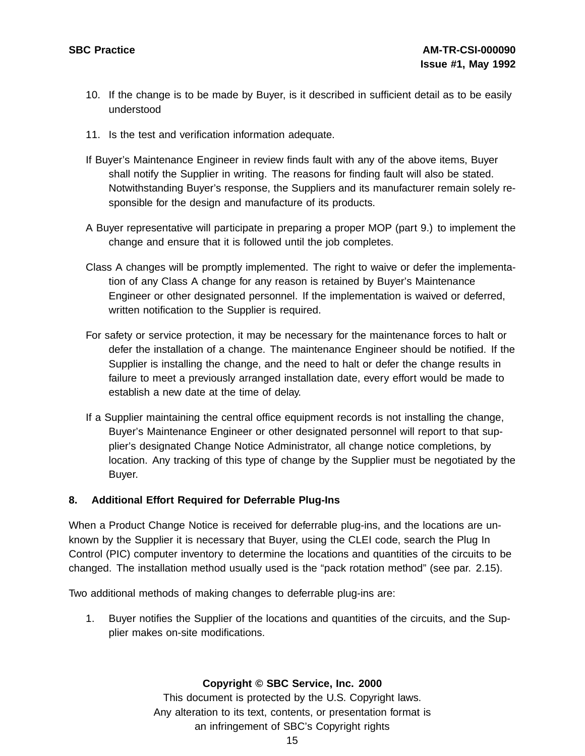- 10. If the change is to be made by Buyer, is it described in sufficient detail as to be easily understood
- 11. Is the test and verification information adequate.
- If Buyer's Maintenance Engineer in review finds fault with any of the above items, Buyer shall notify the Supplier in writing. The reasons for finding fault will also be stated. Notwithstanding Buyer's response, the Suppliers and its manufacturer remain solely responsible for the design and manufacture of its products.
- A Buyer representative will participate in preparing a proper MOP (part 9.) to implement the change and ensure that it is followed until the job completes.
- Class A changes will be promptly implemented. The right to waive or defer the implementation of any Class A change for any reason is retained by Buyer's Maintenance Engineer or other designated personnel. If the implementation is waived or deferred, written notification to the Supplier is required.
- For safety or service protection, it may be necessary for the maintenance forces to halt or defer the installation of a change. The maintenance Engineer should be notified. If the Supplier is installing the change, and the need to halt or defer the change results in failure to meet a previously arranged installation date, every effort would be made to establish a new date at the time of delay.
- If a Supplier maintaining the central office equipment records is not installing the change, Buyer's Maintenance Engineer or other designated personnel will report to that supplier's designated Change Notice Administrator, all change notice completions, by location. Any tracking of this type of change by the Supplier must be negotiated by the Buyer.

#### **8. Additional Effort Required for Deferrable Plug-Ins**

When a Product Change Notice is received for deferrable plug-ins, and the locations are unknown by the Supplier it is necessary that Buyer, using the CLEI code, search the Plug In Control (PIC) computer inventory to determine the locations and quantities of the circuits to be changed. The installation method usually used is the "pack rotation method" (see par. 2.15).

Two additional methods of making changes to deferrable plug-ins are:

1. Buyer notifies the Supplier of the locations and quantities of the circuits, and the Supplier makes on-site modifications.

#### **Copyright © SBC Service, Inc. 2000**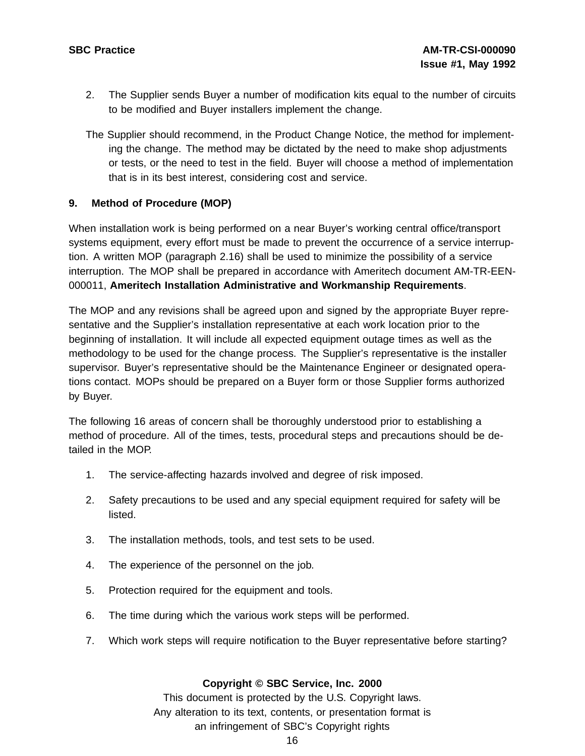- 2. The Supplier sends Buyer a number of modification kits equal to the number of circuits to be modified and Buyer installers implement the change.
- The Supplier should recommend, in the Product Change Notice, the method for implementing the change. The method may be dictated by the need to make shop adjustments or tests, or the need to test in the field. Buyer will choose a method of implementation that is in its best interest, considering cost and service.

#### **9. Method of Procedure (MOP)**

When installation work is being performed on a near Buyer's working central office/transport systems equipment, every effort must be made to prevent the occurrence of a service interruption. A written MOP (paragraph 2.16) shall be used to minimize the possibility of a service interruption. The MOP shall be prepared in accordance with Ameritech document AM-TR-EEN-000011, **Ameritech Installation Administrative and Workmanship Requirements**.

The MOP and any revisions shall be agreed upon and signed by the appropriate Buyer representative and the Supplier's installation representative at each work location prior to the beginning of installation. It will include all expected equipment outage times as well as the methodology to be used for the change process. The Supplier's representative is the installer supervisor. Buyer's representative should be the Maintenance Engineer or designated operations contact. MOPs should be prepared on a Buyer form or those Supplier forms authorized by Buyer.

The following 16 areas of concern shall be thoroughly understood prior to establishing a method of procedure. All of the times, tests, procedural steps and precautions should be detailed in the MOP.

- 1. The service-affecting hazards involved and degree of risk imposed.
- 2. Safety precautions to be used and any special equipment required for safety will be listed.
- 3. The installation methods, tools, and test sets to be used.
- 4. The experience of the personnel on the job.
- 5. Protection required for the equipment and tools.
- 6. The time during which the various work steps will be performed.
- 7. Which work steps will require notification to the Buyer representative before starting?

#### **Copyright © SBC Service, Inc. 2000**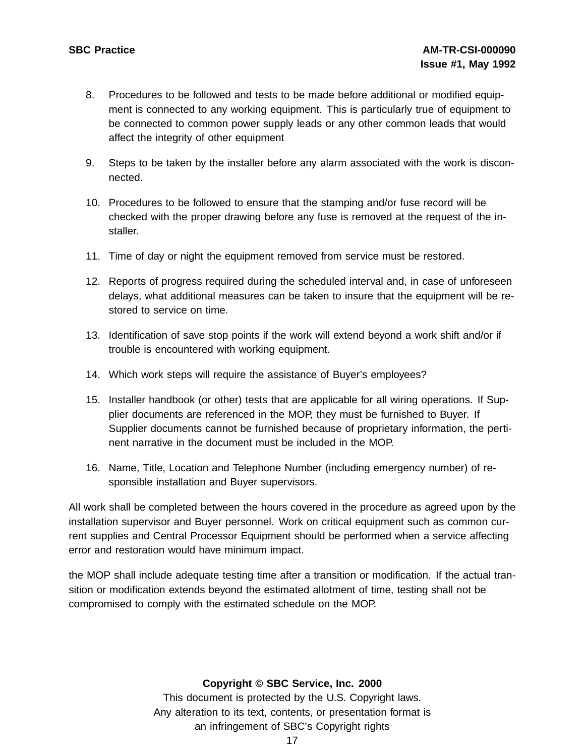- 8. Procedures to be followed and tests to be made before additional or modified equipment is connected to any working equipment. This is particularly true of equipment to be connected to common power supply leads or any other common leads that would affect the integrity of other equipment
- 9. Steps to be taken by the installer before any alarm associated with the work is disconnected.
- 10. Procedures to be followed to ensure that the stamping and/or fuse record will be checked with the proper drawing before any fuse is removed at the request of the installer.
- 11. Time of day or night the equipment removed from service must be restored.
- 12. Reports of progress required during the scheduled interval and, in case of unforeseen delays, what additional measures can be taken to insure that the equipment will be restored to service on time.
- 13. Identification of save stop points if the work will extend beyond a work shift and/or if trouble is encountered with working equipment.
- 14. Which work steps will require the assistance of Buyer's employees?
- 15. Installer handbook (or other) tests that are applicable for all wiring operations. If Supplier documents are referenced in the MOP, they must be furnished to Buyer. If Supplier documents cannot be furnished because of proprietary information, the pertinent narrative in the document must be included in the MOP.
- 16. Name, Title, Location and Telephone Number (including emergency number) of responsible installation and Buyer supervisors.

All work shall be completed between the hours covered in the procedure as agreed upon by the installation supervisor and Buyer personnel. Work on critical equipment such as common current supplies and Central Processor Equipment should be performed when a service affecting error and restoration would have minimum impact.

the MOP shall include adequate testing time after a transition or modification. If the actual transition or modification extends beyond the estimated allotment of time, testing shall not be compromised to comply with the estimated schedule on the MOP.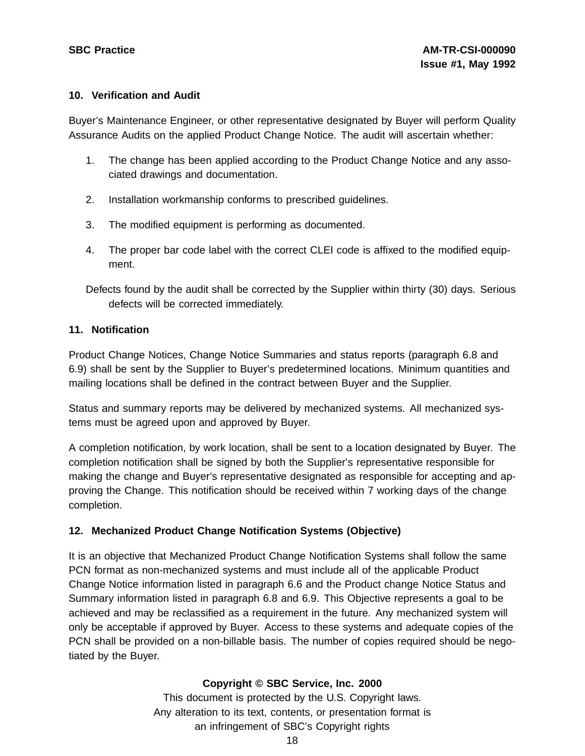#### **10. Verification and Audit**

Buyer's Maintenance Engineer, or other representative designated by Buyer will perform Quality Assurance Audits on the applied Product Change Notice. The audit will ascertain whether:

- 1. The change has been applied according to the Product Change Notice and any associated drawings and documentation.
- 2. Installation workmanship conforms to prescribed guidelines.
- 3. The modified equipment is performing as documented.
- 4. The proper bar code label with the correct CLEI code is affixed to the modified equipment.

Defects found by the audit shall be corrected by the Supplier within thirty (30) days. Serious defects will be corrected immediately.

#### **11. Notification**

Product Change Notices, Change Notice Summaries and status reports (paragraph 6.8 and 6.9) shall be sent by the Supplier to Buyer's predetermined locations. Minimum quantities and mailing locations shall be defined in the contract between Buyer and the Supplier.

Status and summary reports may be delivered by mechanized systems. All mechanized systems must be agreed upon and approved by Buyer.

A completion notification, by work location, shall be sent to a location designated by Buyer. The completion notification shall be signed by both the Supplier's representative responsible for making the change and Buyer's representative designated as responsible for accepting and approving the Change. This notification should be received within 7 working days of the change completion.

#### **12. Mechanized Product Change Notification Systems (Objective)**

It is an objective that Mechanized Product Change Notification Systems shall follow the same PCN format as non-mechanized systems and must include all of the applicable Product Change Notice information listed in paragraph 6.6 and the Product change Notice Status and Summary information listed in paragraph 6.8 and 6.9. This Objective represents a goal to be achieved and may be reclassified as a requirement in the future. Any mechanized system will only be acceptable if approved by Buyer. Access to these systems and adequate copies of the PCN shall be provided on a non-billable basis. The number of copies required should be negotiated by the Buyer.

#### **Copyright © SBC Service, Inc. 2000**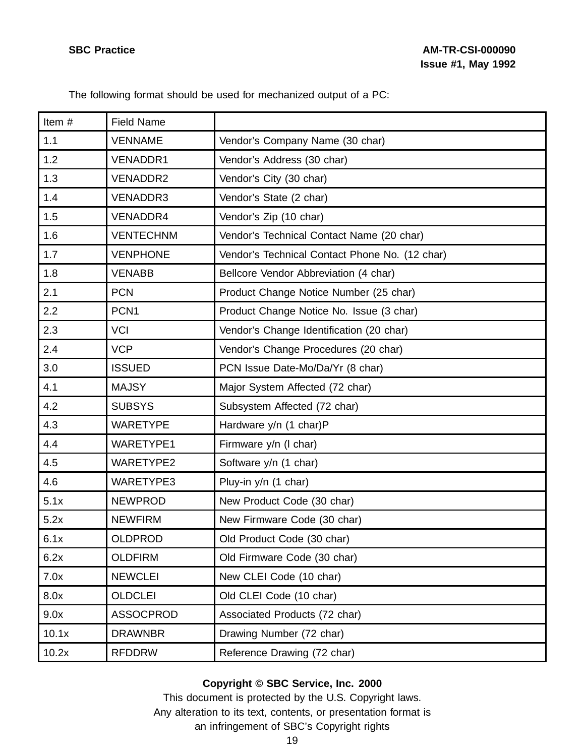The following format should be used for mechanized output of a PC:

| Item# | <b>Field Name</b> |                                                |
|-------|-------------------|------------------------------------------------|
| 1.1   | <b>VENNAME</b>    | Vendor's Company Name (30 char)                |
| 1.2   | <b>VENADDR1</b>   | Vendor's Address (30 char)                     |
| 1.3   | <b>VENADDR2</b>   | Vendor's City (30 char)                        |
| 1.4   | <b>VENADDR3</b>   | Vendor's State (2 char)                        |
| 1.5   | <b>VENADDR4</b>   | Vendor's Zip (10 char)                         |
| 1.6   | <b>VENTECHNM</b>  | Vendor's Technical Contact Name (20 char)      |
| 1.7   | <b>VENPHONE</b>   | Vendor's Technical Contact Phone No. (12 char) |
| 1.8   | <b>VENABB</b>     | Bellcore Vendor Abbreviation (4 char)          |
| 2.1   | <b>PCN</b>        | Product Change Notice Number (25 char)         |
| 2.2   | PCN <sub>1</sub>  | Product Change Notice No. Issue (3 char)       |
| 2.3   | <b>VCI</b>        | Vendor's Change Identification (20 char)       |
| 2.4   | <b>VCP</b>        | Vendor's Change Procedures (20 char)           |
| 3.0   | <b>ISSUED</b>     | PCN Issue Date-Mo/Da/Yr (8 char)               |
| 4.1   | <b>MAJSY</b>      | Major System Affected (72 char)                |
| 4.2   | <b>SUBSYS</b>     | Subsystem Affected (72 char)                   |
| 4.3   | <b>WARETYPE</b>   | Hardware y/n (1 char)P                         |
| 4.4   | WARETYPE1         | Firmware y/n (I char)                          |
| 4.5   | <b>WARETYPE2</b>  | Software y/n (1 char)                          |
| 4.6   | <b>WARETYPE3</b>  | Pluy-in y/n (1 char)                           |
| 5.1x  | <b>NEWPROD</b>    | New Product Code (30 char)                     |
| 5.2x  | <b>NEWFIRM</b>    | New Firmware Code (30 char)                    |
| 6.1x  | <b>OLDPROD</b>    | Old Product Code (30 char)                     |
| 6.2x  | <b>OLDFIRM</b>    | Old Firmware Code (30 char)                    |
| 7.0x  | <b>NEWCLEI</b>    | New CLEI Code (10 char)                        |
| 8.0x  | <b>OLDCLEI</b>    | Old CLEI Code (10 char)                        |
| 9.0x  | <b>ASSOCPROD</b>  | Associated Products (72 char)                  |
| 10.1x | <b>DRAWNBR</b>    | Drawing Number (72 char)                       |
| 10.2x | <b>RFDDRW</b>     | Reference Drawing (72 char)                    |

# **Copyright © SBC Service, Inc. 2000**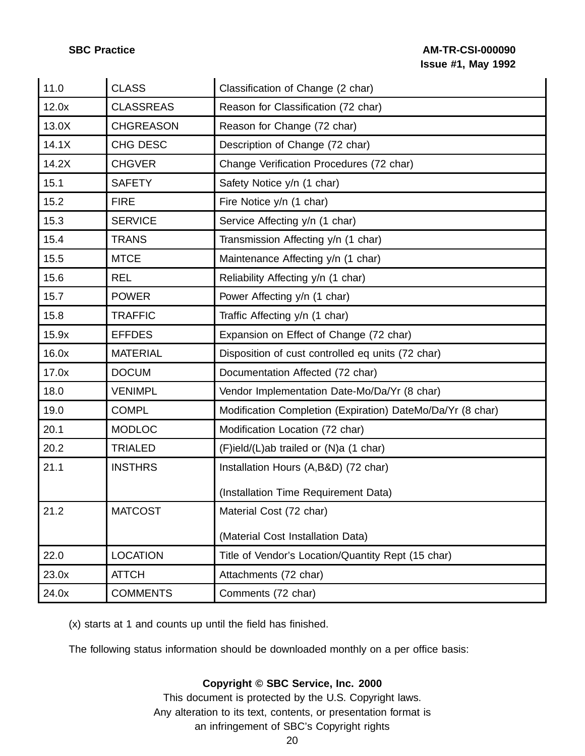### **SBC Practice AM-TR-CSI-000090 Issue #1, May 1992**

| 11.0  | <b>CLASS</b>     | Classification of Change (2 char)                          |
|-------|------------------|------------------------------------------------------------|
| 12.0x | <b>CLASSREAS</b> | Reason for Classification (72 char)                        |
| 13.0X | <b>CHGREASON</b> | Reason for Change (72 char)                                |
| 14.1X | CHG DESC         | Description of Change (72 char)                            |
| 14.2X | <b>CHGVER</b>    | Change Verification Procedures (72 char)                   |
| 15.1  | <b>SAFETY</b>    | Safety Notice y/n (1 char)                                 |
| 15.2  | <b>FIRE</b>      | Fire Notice y/n (1 char)                                   |
| 15.3  | <b>SERVICE</b>   | Service Affecting y/n (1 char)                             |
| 15.4  | <b>TRANS</b>     | Transmission Affecting y/n (1 char)                        |
| 15.5  | <b>MTCE</b>      | Maintenance Affecting y/n (1 char)                         |
| 15.6  | <b>REL</b>       | Reliability Affecting y/n (1 char)                         |
| 15.7  | <b>POWER</b>     | Power Affecting y/n (1 char)                               |
| 15.8  | <b>TRAFFIC</b>   | Traffic Affecting y/n (1 char)                             |
| 15.9x | <b>EFFDES</b>    | Expansion on Effect of Change (72 char)                    |
| 16.0x | <b>MATERIAL</b>  | Disposition of cust controlled eq units (72 char)          |
| 17.0x | <b>DOCUM</b>     | Documentation Affected (72 char)                           |
| 18.0  | <b>VENIMPL</b>   | Vendor Implementation Date-Mo/Da/Yr (8 char)               |
| 19.0  | <b>COMPL</b>     | Modification Completion (Expiration) DateMo/Da/Yr (8 char) |
| 20.1  | <b>MODLOC</b>    | Modification Location (72 char)                            |
| 20.2  | <b>TRIALED</b>   | (F)ield/(L)ab trailed or (N)a (1 char)                     |
| 21.1  | <b>INSTHRS</b>   | Installation Hours (A,B&D) (72 char)                       |
|       |                  | (Installation Time Requirement Data)                       |
| 21.2  | <b>MATCOST</b>   | Material Cost (72 char)                                    |
|       |                  | (Material Cost Installation Data)                          |
| 22.0  | <b>LOCATION</b>  | Title of Vendor's Location/Quantity Rept (15 char)         |
| 23.0x | <b>ATTCH</b>     | Attachments (72 char)                                      |
| 24.0x | <b>COMMENTS</b>  | Comments (72 char)                                         |

(x) starts at 1 and counts up until the field has finished.

The following status information should be downloaded monthly on a per office basis:

### **Copyright © SBC Service, Inc. 2000**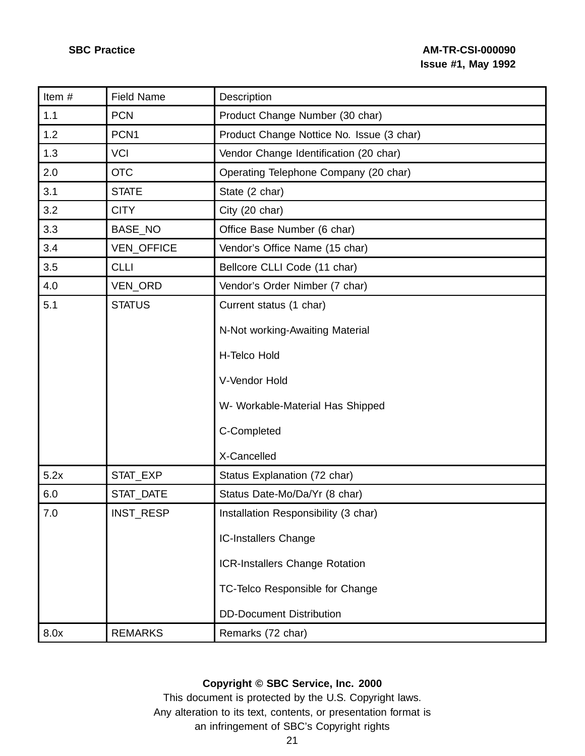| Item#   | <b>Field Name</b> | Description                               |
|---------|-------------------|-------------------------------------------|
| 1.1     | <b>PCN</b>        | Product Change Number (30 char)           |
| 1.2     | PCN <sub>1</sub>  | Product Change Nottice No. Issue (3 char) |
| 1.3     | <b>VCI</b>        | Vendor Change Identification (20 char)    |
| 2.0     | <b>OTC</b>        | Operating Telephone Company (20 char)     |
| 3.1     | <b>STATE</b>      | State (2 char)                            |
| 3.2     | <b>CITY</b>       | City (20 char)                            |
| 3.3     | BASE_NO           | Office Base Number (6 char)               |
| 3.4     | VEN_OFFICE        | Vendor's Office Name (15 char)            |
| 3.5     | <b>CLLI</b>       | Bellcore CLLI Code (11 char)              |
| 4.0     | VEN_ORD           | Vendor's Order Nimber (7 char)            |
| 5.1     | <b>STATUS</b>     | Current status (1 char)                   |
|         |                   | N-Not working-Awaiting Material           |
|         |                   |                                           |
|         |                   | H-Telco Hold                              |
|         |                   | V-Vendor Hold                             |
|         |                   | W- Workable-Material Has Shipped          |
|         |                   | C-Completed                               |
|         |                   | X-Cancelled                               |
| 5.2x    | STAT EXP          | Status Explanation (72 char)              |
| 6.0     | STAT_DATE         | Status Date-Mo/Da/Yr (8 char)             |
| $7.0\,$ | INST_RESP         | Installation Responsibility (3 char)      |
|         |                   | <b>IC-Installers Change</b>               |
|         |                   | <b>ICR-Installers Change Rotation</b>     |
|         |                   | TC-Telco Responsible for Change           |
|         |                   | <b>DD-Document Distribution</b>           |
| 8.0x    | <b>REMARKS</b>    | Remarks (72 char)                         |

# **Copyright © SBC Service, Inc. 2000**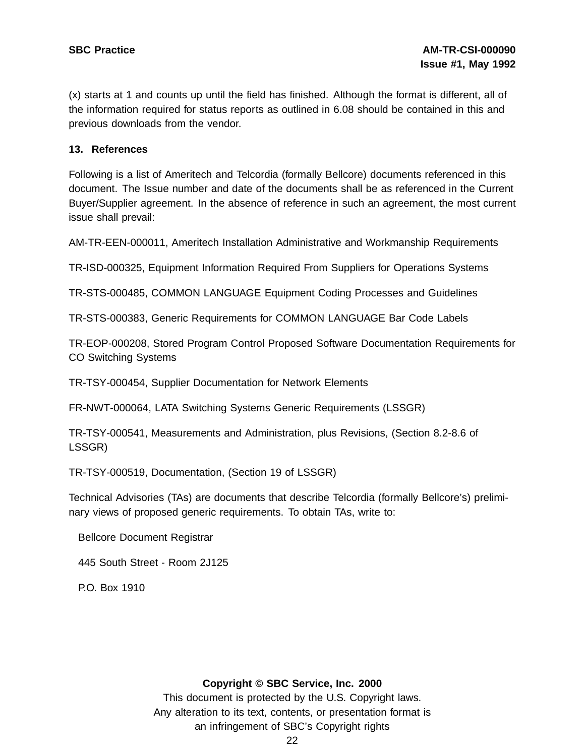(x) starts at 1 and counts up until the field has finished. Although the format is different, all of the information required for status reports as outlined in 6.08 should be contained in this and previous downloads from the vendor.

#### **13. References**

Following is a list of Ameritech and Telcordia (formally Bellcore) documents referenced in this document. The Issue number and date of the documents shall be as referenced in the Current Buyer/Supplier agreement. In the absence of reference in such an agreement, the most current issue shall prevail:

AM-TR-EEN-000011, Ameritech Installation Administrative and Workmanship Requirements

TR-ISD-000325, Equipment Information Required From Suppliers for Operations Systems

TR-STS-000485, COMMON LANGUAGE Equipment Coding Processes and Guidelines

TR-STS-000383, Generic Requirements for COMMON LANGUAGE Bar Code Labels

TR-EOP-000208, Stored Program Control Proposed Software Documentation Requirements for CO Switching Systems

TR-TSY-000454, Supplier Documentation for Network Elements

FR-NWT-000064, LATA Switching Systems Generic Requirements (LSSGR)

TR-TSY-000541, Measurements and Administration, plus Revisions, (Section 8.2-8.6 of LSSGR)

TR-TSY-000519, Documentation, (Section 19 of LSSGR)

Technical Advisories (TAs) are documents that describe Telcordia (formally Bellcore's) preliminary views of proposed generic requirements. To obtain TAs, write to:

Bellcore Document Registrar

445 South Street - Room 2J125

P.O. Box 1910

#### **Copyright © SBC Service, Inc. 2000**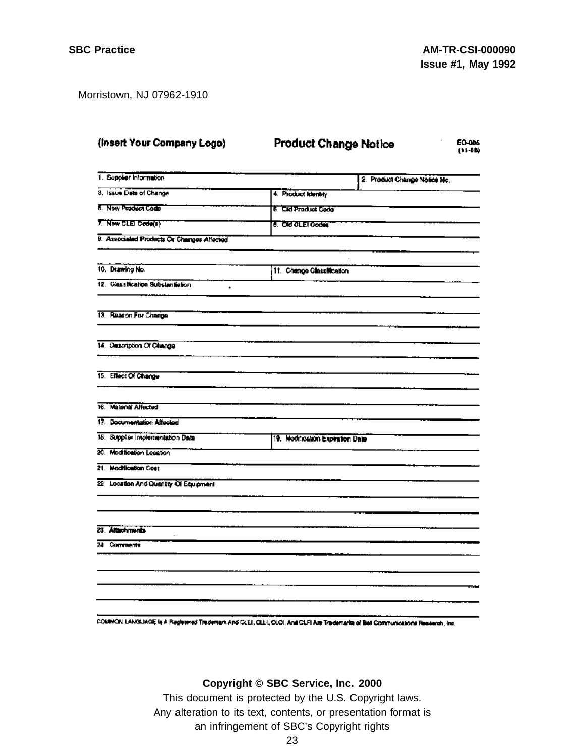Morristown, NJ 07962-1910

| (Insert Your Company Logo)                 | <b>Product Change Notice</b>     | <b>EO-005</b><br>(11-88)     |
|--------------------------------------------|----------------------------------|------------------------------|
| 1. Supplier Information                    |                                  | 2. Product Change Notice No. |
| 3. Issue Date of Change                    | 4. Product Identity              |                              |
| 5. New Product Codo                        | 6. Cild Product Code             |                              |
| 7. New CLEI Code(s)                        | <b>8. Old OLEI Godes</b>         |                              |
| 9. Associated Products Or Changes Affected |                                  |                              |
| 10. Drawing No.                            | 11. Change Classification        |                              |
| 12. Classification Substantiation<br>s.    |                                  |                              |
| 13. Reason For Change                      |                                  |                              |
| 14. Description Of Change                  |                                  |                              |
| 15. Effect Of Change                       |                                  |                              |
| 16. Material Affected                      |                                  |                              |
| 17. Documentation Affected                 |                                  |                              |
| 18. Supplier Implementation Date           | 19. Modification Expiration Date |                              |
| 20. Modification Location                  |                                  |                              |
| 21. Modification Cost                      |                                  |                              |
| 22 Location And Quantity Of Equipment      |                                  |                              |
|                                            |                                  |                              |
| 23. Attachments                            |                                  |                              |
| 24 Comments                                |                                  |                              |
|                                            |                                  |                              |
|                                            |                                  |                              |
|                                            |                                  |                              |

COMMON LANGUAGE Is A Registered Trademark And CLEI, CLEI, CLCI, And CLEI Are Trademarks of Bell Communications Research, Inc.

#### **Copyright © SBC Service, Inc. 2000**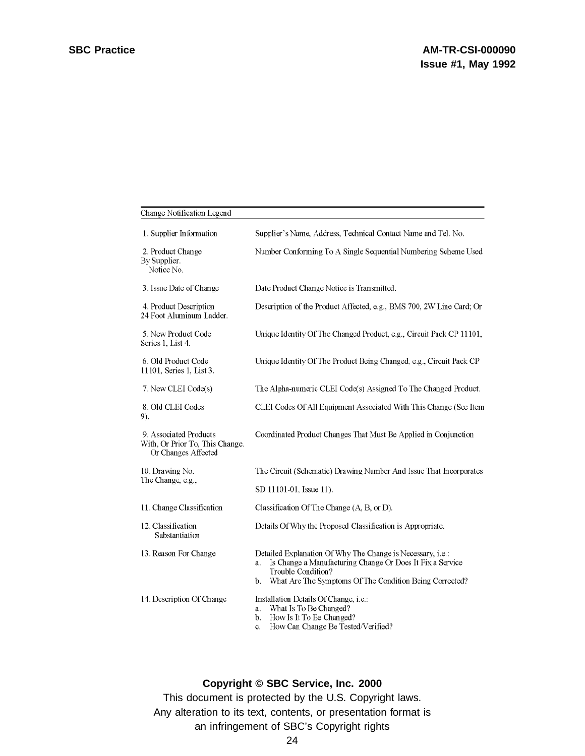| Change Notification Legend                                                       |                                                                                                                                                                                                                      |  |
|----------------------------------------------------------------------------------|----------------------------------------------------------------------------------------------------------------------------------------------------------------------------------------------------------------------|--|
| 1. Supplier Information                                                          | Supplier's Name, Address, Technical Contact Name and Tel. No.                                                                                                                                                        |  |
| 2. Product Change<br>By Supplier.<br>Notice No.                                  | Number Conforming To A Single Sequential Numbering Scheme Used                                                                                                                                                       |  |
| 3. Issue Date of Change                                                          | Date Product Change Notice is Transmitted.                                                                                                                                                                           |  |
| 4. Product Description<br>24 Foot Aluminum Ladder.                               | Description of the Product Affected, e.g., BMS 700, 2W Line Card; Or                                                                                                                                                 |  |
| 5. New Product Code<br>Series 1, List 4.                                         | Unique Identity Of The Changed Product, e.g., Circuit Pack CP 11101,                                                                                                                                                 |  |
| 6. Old Product Code<br>11101, Series 1, List 3.                                  | Unique Identity Of The Product Being Changed, e.g., Circuit Pack CP                                                                                                                                                  |  |
| 7. New CLEI Code(s)                                                              | The Alpha-numeric CLEI Code(s) Assigned To The Changed Product.                                                                                                                                                      |  |
| 8. Old CLEI Codes<br>9).                                                         | CLEI Codes Of All Equipment Associated With This Change (See Item                                                                                                                                                    |  |
| 9. Associated Products<br>With, Or Prior To, This Change.<br>Or Changes Affected | Coordinated Product Changes That Must Be Applied in Conjunction                                                                                                                                                      |  |
| 10. Drawing No.                                                                  | The Circuit (Schematic) Drawing Number And Issue That Incorporates                                                                                                                                                   |  |
| The Change, e.g.,                                                                | SD 11101-01, Issue 11).                                                                                                                                                                                              |  |
| 11. Change Classification                                                        | Classification Of The Change (A, B, or D).                                                                                                                                                                           |  |
| 12. Classification<br>Substantiation                                             | Details Of Why the Proposed Classification is Appropriate.                                                                                                                                                           |  |
| 13. Reason For Change                                                            | Detailed Explanation Of Why The Change is Necessary, i.e.:<br>Is Change a Manufacturing Change Or Does It Fix a Service<br>a.<br>Trouble Condition?<br>What Are The Symptoms Of The Condition Being Corrected?<br>b. |  |
| 14. Description Of Change                                                        | Installation Details Of Change, <i>i.e.</i> :<br>What Is To Be Changed?<br>a.<br>How Is It To Be Changed?<br>b.<br>How Can Change Be Tested/Verified?<br>c.                                                          |  |